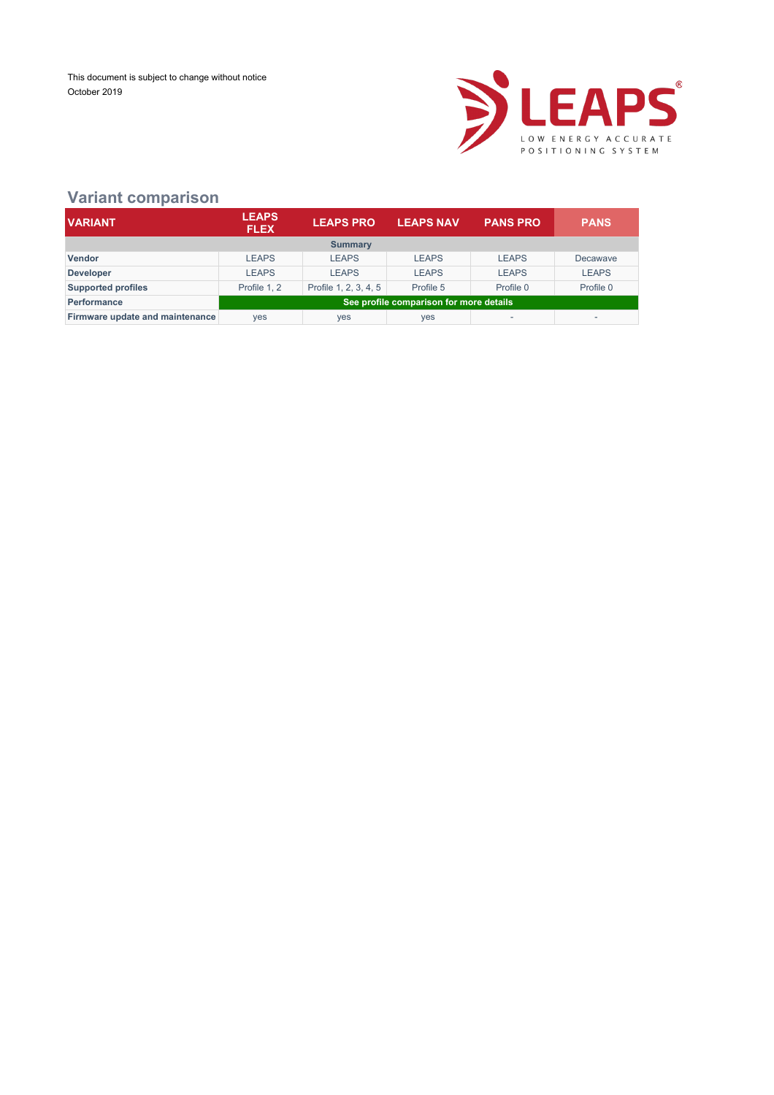

### **Variant comparison**

| <b>VARIANT</b>                  | <b>LEAPS</b><br><b>FLEX</b>             | <b>LEAPS PRO</b>      | <b>LEAPS NAV</b> | <b>PANS PRO</b> | <b>PANS</b>  |  |  |
|---------------------------------|-----------------------------------------|-----------------------|------------------|-----------------|--------------|--|--|
|                                 |                                         | <b>Summary</b>        |                  |                 |              |  |  |
| <b>Vendor</b>                   | <b>LEAPS</b>                            | <b>LEAPS</b>          | <b>LEAPS</b>     | <b>LEAPS</b>    | Decawave     |  |  |
| <b>Developer</b>                | <b>LEAPS</b>                            | <b>LEAPS</b>          | <b>LEAPS</b>     | <b>LEAPS</b>    | <b>LEAPS</b> |  |  |
| <b>Supported profiles</b>       | Profile 1.2                             | Profile 1, 2, 3, 4, 5 | Profile 5        | Profile 0       | Profile 0    |  |  |
| Performance                     | See profile comparison for more details |                       |                  |                 |              |  |  |
| Firmware update and maintenance | <b>ves</b>                              | yes                   | yes              |                 |              |  |  |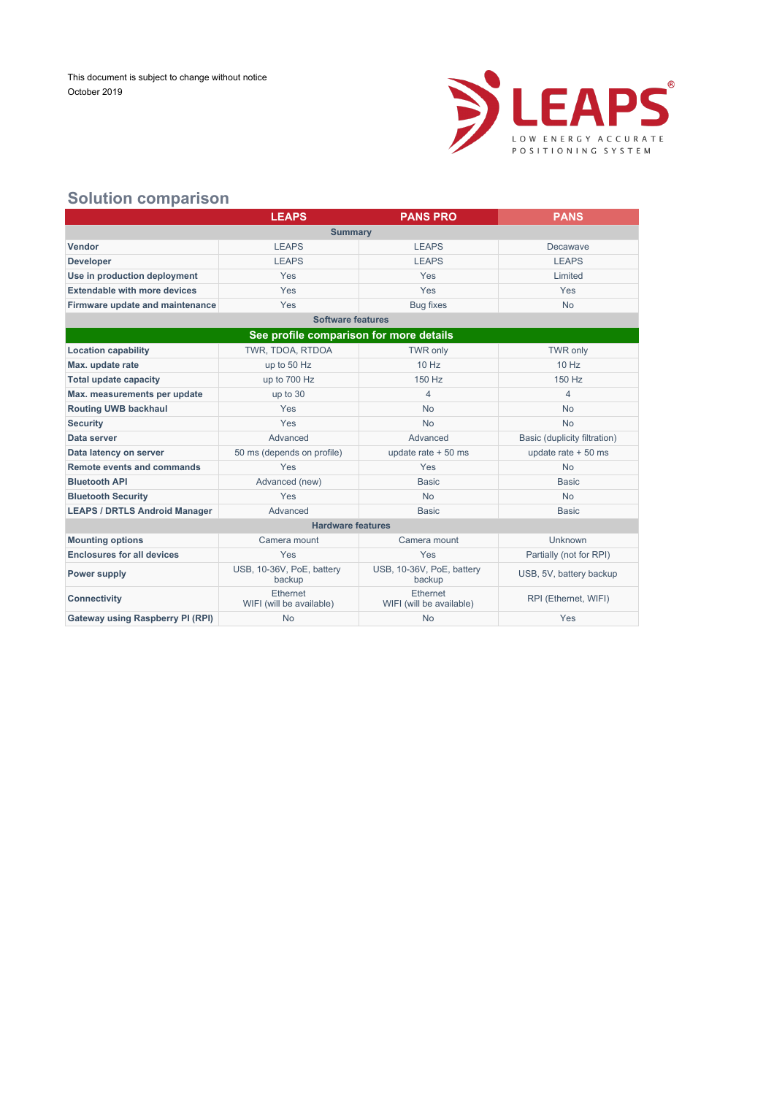

### **Solution comparison**

|                                     | <b>LEAPS</b> | <b>PANS PRO</b> | <b>PANS</b>  |  |  |  |  |  |
|-------------------------------------|--------------|-----------------|--------------|--|--|--|--|--|
| <b>Summary</b>                      |              |                 |              |  |  |  |  |  |
| <b>Vendor</b>                       | <b>LEAPS</b> | <b>LEAPS</b>    | Decawave     |  |  |  |  |  |
| <b>Developer</b>                    | <b>LEAPS</b> | <b>LEAPS</b>    | <b>LEAPS</b> |  |  |  |  |  |
| Use in production deployment        | Yes          | Yes             | Limited      |  |  |  |  |  |
| <b>Extendable with more devices</b> | Yes          | Yes             | Yes          |  |  |  |  |  |
| Firmware update and maintenance     | Yes          | Bug fixes       | <b>No</b>    |  |  |  |  |  |

|                                         | <b>Software features</b>             |                                      |                              |  |  |  |  |  |
|-----------------------------------------|--------------------------------------|--------------------------------------|------------------------------|--|--|--|--|--|
| See profile comparison for more details |                                      |                                      |                              |  |  |  |  |  |
| <b>Location capability</b>              | TWR, TDOA, RTDOA                     | TWR only                             | <b>TWR only</b>              |  |  |  |  |  |
| Max. update rate                        | up to 50 Hz                          | $10$ Hz                              | $10$ Hz                      |  |  |  |  |  |
| <b>Total update capacity</b>            | up to 700 Hz                         | 150 Hz                               | 150 Hz                       |  |  |  |  |  |
| Max. measurements per update            | up to 30                             | 4                                    | $\overline{4}$               |  |  |  |  |  |
| <b>Routing UWB backhaul</b>             | <b>Yes</b>                           | <b>No</b>                            | <b>No</b>                    |  |  |  |  |  |
| <b>Security</b>                         | <b>Yes</b>                           | <b>No</b>                            | <b>No</b>                    |  |  |  |  |  |
| Data server                             | Advanced                             | Advanced                             | Basic (duplicity filtration) |  |  |  |  |  |
| Data latency on server                  | 50 ms (depends on profile)           | update rate $+50$ ms                 | update rate $+50$ ms         |  |  |  |  |  |
| Remote events and commands              | Yes                                  | Yes                                  | <b>No</b>                    |  |  |  |  |  |
| <b>Bluetooth API</b>                    | Advanced (new)                       | <b>Basic</b>                         | <b>Basic</b>                 |  |  |  |  |  |
| <b>Bluetooth Security</b>               | Yes                                  | <b>No</b>                            | <b>No</b>                    |  |  |  |  |  |
| <b>LEAPS / DRTLS Android Manager</b>    | Advanced                             | <b>Basic</b>                         | <b>Basic</b>                 |  |  |  |  |  |
|                                         | <b>Hardware features</b>             |                                      |                              |  |  |  |  |  |
| <b>Mounting options</b>                 | Camera mount                         | Camera mount                         | Unknown                      |  |  |  |  |  |
| <b>Enclosures for all devices</b>       | <b>Yes</b>                           | Yes                                  | Partially (not for RPI)      |  |  |  |  |  |
| <b>Power supply</b>                     | USB, 10-36V, PoE, battery<br>backup  | USB, 10-36V, PoE, battery<br>backup  | USB, 5V, battery backup      |  |  |  |  |  |
| <b>Connectivity</b>                     | Ethernet<br>WIFI (will be available) | Ethernet<br>WIFI (will be available) | RPI (Ethernet, WIFI)         |  |  |  |  |  |
| Gateway using Raspberry PI (RPI)        | <b>No</b>                            | <b>No</b>                            | Yes                          |  |  |  |  |  |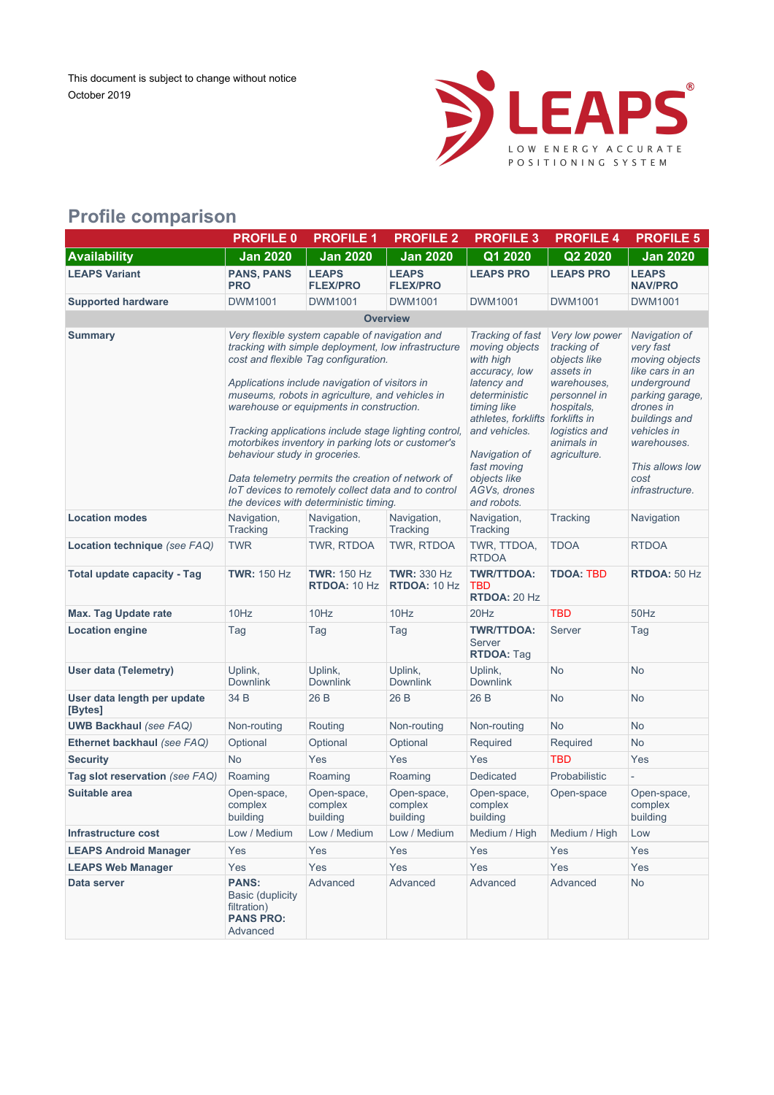

## **Profile comparison**

|                                        | <b>PROFILE 0</b>                                                                       | <b>PROFILE 1</b>                                                                                                                                                                                                                                                                                                                                                                                                                                                                                                                                                                                     | <b>PROFILE 2</b>                          | <b>PROFILE 3</b>                                                                                                                                                                                                                       | <b>PROFILE 4</b>                                                                                                                                                       | <b>PROFILE 5</b>                                                                                                                                                                                            |  |
|----------------------------------------|----------------------------------------------------------------------------------------|------------------------------------------------------------------------------------------------------------------------------------------------------------------------------------------------------------------------------------------------------------------------------------------------------------------------------------------------------------------------------------------------------------------------------------------------------------------------------------------------------------------------------------------------------------------------------------------------------|-------------------------------------------|----------------------------------------------------------------------------------------------------------------------------------------------------------------------------------------------------------------------------------------|------------------------------------------------------------------------------------------------------------------------------------------------------------------------|-------------------------------------------------------------------------------------------------------------------------------------------------------------------------------------------------------------|--|
| <b>Availability</b>                    | <b>Jan 2020</b>                                                                        | <b>Jan 2020</b>                                                                                                                                                                                                                                                                                                                                                                                                                                                                                                                                                                                      | <b>Jan 2020</b>                           | Q1 2020                                                                                                                                                                                                                                | Q2 2020                                                                                                                                                                | <b>Jan 2020</b>                                                                                                                                                                                             |  |
| <b>LEAPS Variant</b>                   | <b>PANS, PANS</b><br><b>PRO</b>                                                        | <b>LEAPS</b><br><b>FLEX/PRO</b>                                                                                                                                                                                                                                                                                                                                                                                                                                                                                                                                                                      | <b>LEAPS</b><br><b>FLEX/PRO</b>           | <b>LEAPS PRO</b>                                                                                                                                                                                                                       | <b>LEAPS PRO</b>                                                                                                                                                       | <b>LEAPS</b><br><b>NAV/PRO</b>                                                                                                                                                                              |  |
| <b>Supported hardware</b>              | <b>DWM1001</b>                                                                         | <b>DWM1001</b>                                                                                                                                                                                                                                                                                                                                                                                                                                                                                                                                                                                       | DWM1001                                   | DWM1001                                                                                                                                                                                                                                | DWM1001                                                                                                                                                                | <b>DWM1001</b>                                                                                                                                                                                              |  |
|                                        | <b>Overview</b>                                                                        |                                                                                                                                                                                                                                                                                                                                                                                                                                                                                                                                                                                                      |                                           |                                                                                                                                                                                                                                        |                                                                                                                                                                        |                                                                                                                                                                                                             |  |
| <b>Summary</b>                         |                                                                                        | Very flexible system capable of navigation and<br>tracking with simple deployment, low infrastructure<br>cost and flexible Tag configuration.<br>Applications include navigation of visitors in<br>museums, robots in agriculture, and vehicles in<br>warehouse or equipments in construction.<br>Tracking applications include stage lighting control,<br>motorbikes inventory in parking lots or customer's<br>behaviour study in groceries.<br>Data telemetry permits the creation of network of<br>IoT devices to remotely collect data and to control<br>the devices with deterministic timing. |                                           | Tracking of fast<br>moving objects<br>with high<br>accuracy, low<br>latency and<br>deterministic<br>timing like<br>athletes, forklifts<br>and vehicles.<br>Navigation of<br>fast moving<br>objects like<br>AGVs, drones<br>and robots. | Very low power<br>tracking of<br>objects like<br>assets in<br>warehouses.<br>personnel in<br>hospitals,<br>forklifts in<br>logistics and<br>animals in<br>agriculture. | Navigation of<br>very fast<br>moving objects<br>like cars in an<br>underground<br>parking garage,<br>drones in<br>buildings and<br>vehicles in<br>warehouses.<br>This allows low<br>cost<br>infrastructure. |  |
| <b>Location modes</b>                  | Navigation,<br>Tracking                                                                | Navigation,<br>Tracking                                                                                                                                                                                                                                                                                                                                                                                                                                                                                                                                                                              | Navigation,<br>Tracking                   | Navigation,<br>Tracking                                                                                                                                                                                                                | Tracking                                                                                                                                                               | Navigation                                                                                                                                                                                                  |  |
| Location technique (see FAQ)           | <b>TWR</b>                                                                             | TWR, RTDOA                                                                                                                                                                                                                                                                                                                                                                                                                                                                                                                                                                                           | TWR, RTDOA                                | TWR, TTDOA,<br><b>RTDOA</b>                                                                                                                                                                                                            | <b>TDOA</b>                                                                                                                                                            | <b>RTDOA</b>                                                                                                                                                                                                |  |
| <b>Total update capacity - Tag</b>     | <b>TWR: 150 Hz</b>                                                                     | <b>TWR: 150 Hz</b><br><b>RTDOA: 10 Hz</b>                                                                                                                                                                                                                                                                                                                                                                                                                                                                                                                                                            | <b>TWR: 330 Hz</b><br><b>RTDOA: 10 Hz</b> | <b>TWR/TTDOA:</b><br><b>TBD</b><br>RTDOA: 20 Hz                                                                                                                                                                                        | <b>TDOA: TBD</b>                                                                                                                                                       | RTDOA: 50 Hz                                                                                                                                                                                                |  |
| <b>Max. Tag Update rate</b>            | 10Hz                                                                                   | 10Hz                                                                                                                                                                                                                                                                                                                                                                                                                                                                                                                                                                                                 | 10Hz                                      | 20Hz                                                                                                                                                                                                                                   | <b>TBD</b>                                                                                                                                                             | 50Hz                                                                                                                                                                                                        |  |
| <b>Location engine</b>                 | Tag                                                                                    | Tag                                                                                                                                                                                                                                                                                                                                                                                                                                                                                                                                                                                                  | Tag                                       | <b>TWR/TTDOA:</b><br>Server<br><b>RTDOA: Tag</b>                                                                                                                                                                                       | Server                                                                                                                                                                 | Tag                                                                                                                                                                                                         |  |
| <b>User data (Telemetry)</b>           | Uplink,<br><b>Downlink</b>                                                             | Uplink,<br><b>Downlink</b>                                                                                                                                                                                                                                                                                                                                                                                                                                                                                                                                                                           | Uplink,<br><b>Downlink</b>                | Uplink,<br><b>Downlink</b>                                                                                                                                                                                                             | <b>No</b>                                                                                                                                                              | <b>No</b>                                                                                                                                                                                                   |  |
| User data length per update<br>[Bytes] | 34 B                                                                                   | 26 B                                                                                                                                                                                                                                                                                                                                                                                                                                                                                                                                                                                                 | 26 B                                      | 26 B                                                                                                                                                                                                                                   | <b>No</b>                                                                                                                                                              | <b>No</b>                                                                                                                                                                                                   |  |
| <b>UWB Backhaul (see FAQ)</b>          | Non-routing                                                                            | Routing                                                                                                                                                                                                                                                                                                                                                                                                                                                                                                                                                                                              | Non-routing                               | Non-routing                                                                                                                                                                                                                            | <b>No</b>                                                                                                                                                              | No                                                                                                                                                                                                          |  |
| Ethernet backhaul (see FAQ)            | Optional                                                                               | Optional                                                                                                                                                                                                                                                                                                                                                                                                                                                                                                                                                                                             | Optional                                  | Required                                                                                                                                                                                                                               | Required                                                                                                                                                               | <b>No</b>                                                                                                                                                                                                   |  |
| <b>Security</b>                        | <b>No</b>                                                                              | Yes                                                                                                                                                                                                                                                                                                                                                                                                                                                                                                                                                                                                  | Yes                                       | Yes                                                                                                                                                                                                                                    | <b>TBD</b>                                                                                                                                                             | Yes                                                                                                                                                                                                         |  |
| Tag slot reservation (see FAQ)         | Roaming                                                                                | Roaming                                                                                                                                                                                                                                                                                                                                                                                                                                                                                                                                                                                              | Roaming                                   | Dedicated                                                                                                                                                                                                                              | Probabilistic                                                                                                                                                          |                                                                                                                                                                                                             |  |
| Suitable area                          | Open-space,<br>complex<br>building                                                     | Open-space,<br>complex<br>building                                                                                                                                                                                                                                                                                                                                                                                                                                                                                                                                                                   | Open-space,<br>complex<br>building        | Open-space,<br>complex<br>building                                                                                                                                                                                                     | Open-space                                                                                                                                                             | Open-space,<br>complex<br>building                                                                                                                                                                          |  |
| Infrastructure cost                    | Low / Medium                                                                           | Low / Medium                                                                                                                                                                                                                                                                                                                                                                                                                                                                                                                                                                                         | Low / Medium                              | Medium / High                                                                                                                                                                                                                          | Medium / High                                                                                                                                                          | Low                                                                                                                                                                                                         |  |
| <b>LEAPS Android Manager</b>           | Yes                                                                                    | Yes                                                                                                                                                                                                                                                                                                                                                                                                                                                                                                                                                                                                  | Yes                                       | Yes                                                                                                                                                                                                                                    | Yes                                                                                                                                                                    | Yes                                                                                                                                                                                                         |  |
| <b>LEAPS Web Manager</b>               | Yes                                                                                    | Yes                                                                                                                                                                                                                                                                                                                                                                                                                                                                                                                                                                                                  | Yes                                       | Yes                                                                                                                                                                                                                                    | Yes                                                                                                                                                                    | Yes                                                                                                                                                                                                         |  |
| Data server                            | <b>PANS:</b><br><b>Basic (duplicity</b><br>filtration)<br><b>PANS PRO:</b><br>Advanced | Advanced                                                                                                                                                                                                                                                                                                                                                                                                                                                                                                                                                                                             | Advanced                                  | Advanced                                                                                                                                                                                                                               | Advanced                                                                                                                                                               | No                                                                                                                                                                                                          |  |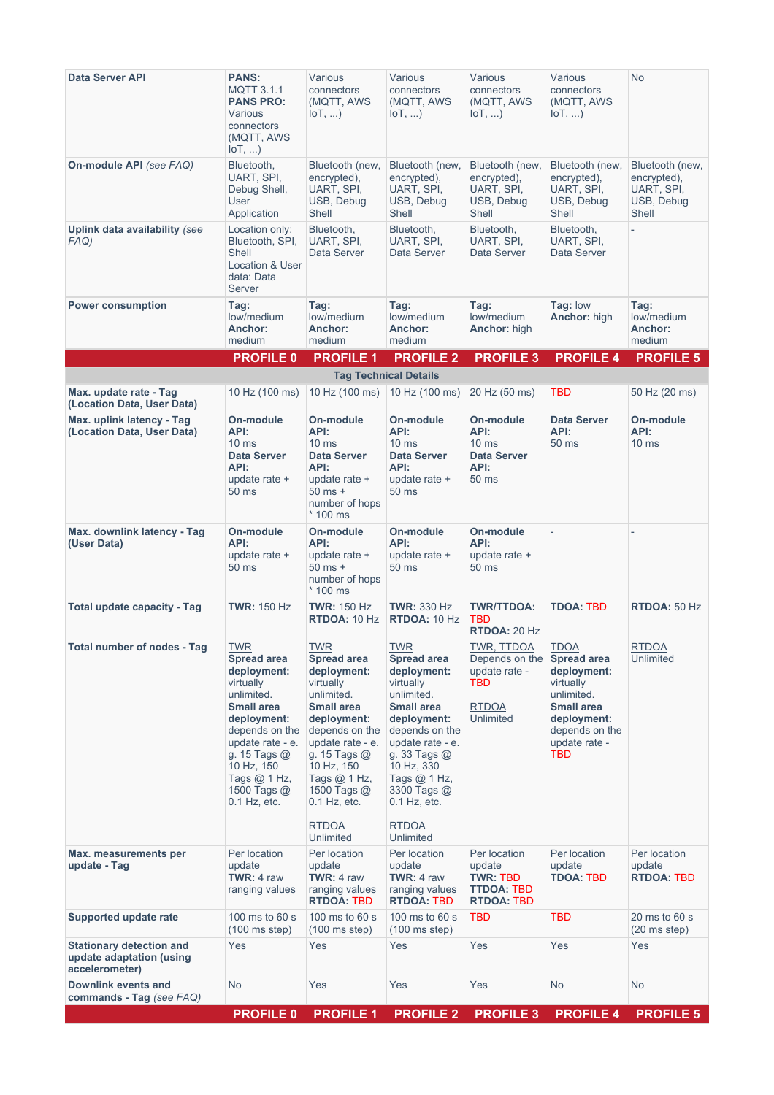| <b>Data Server API</b>                                                        | <b>PANS:</b><br><b>MQTT 3.1.1</b><br><b>PANS PRO:</b><br>Various<br>connectors<br>(MQTT, AWS<br>$I \circ T, $                                                                                                                           | Various<br>connectors<br>(MQTT, AWS<br>$I \circ T, \ldots$                                                                                                                                                                                                         | Various<br>connectors<br>(MQTT, AWS<br>$I \circ T, $                                                                                                                                                                                                             | Various<br>connectors<br>(MQTT, AWS<br>$I \circ T, \ldots$                   | Various<br>connectors<br>(MQTT, AWS<br>$I \circ T, \ldots$                                                                                                       | <b>No</b>                                                           |
|-------------------------------------------------------------------------------|-----------------------------------------------------------------------------------------------------------------------------------------------------------------------------------------------------------------------------------------|--------------------------------------------------------------------------------------------------------------------------------------------------------------------------------------------------------------------------------------------------------------------|------------------------------------------------------------------------------------------------------------------------------------------------------------------------------------------------------------------------------------------------------------------|------------------------------------------------------------------------------|------------------------------------------------------------------------------------------------------------------------------------------------------------------|---------------------------------------------------------------------|
| On-module API (see FAQ)                                                       | Bluetooth,<br>UART, SPI,<br>Debug Shell,<br>User<br>Application                                                                                                                                                                         | Bluetooth (new,<br>encrypted),<br>UART, SPI,<br>USB, Debug<br>Shell                                                                                                                                                                                                | Bluetooth (new,<br>encrypted),<br>UART, SPI,<br>USB, Debug<br>Shell                                                                                                                                                                                              | Bluetooth (new,<br>encrypted),<br>UART, SPI,<br>USB, Debug<br>Shell          | Bluetooth (new,<br>encrypted),<br>UART, SPI,<br>USB, Debug<br>Shell                                                                                              | Bluetooth (new,<br>encrypted),<br>UART, SPI,<br>USB, Debug<br>Shell |
| Uplink data availability (see<br>FAQ)                                         | Location only:<br>Bluetooth, SPI,<br>Shell<br>Location & User<br>data: Data<br>Server                                                                                                                                                   | Bluetooth,<br>UART, SPI,<br>Data Server                                                                                                                                                                                                                            | Bluetooth,<br>UART, SPI,<br>Data Server                                                                                                                                                                                                                          | Bluetooth,<br>UART, SPI,<br>Data Server                                      | Bluetooth,<br>UART, SPI,<br>Data Server                                                                                                                          |                                                                     |
| <b>Power consumption</b>                                                      | Tag:<br>low/medium<br>Anchor:<br>medium                                                                                                                                                                                                 | Tag:<br>low/medium<br>Anchor:<br>medium                                                                                                                                                                                                                            | Tag:<br>low/medium<br>Anchor:<br>medium                                                                                                                                                                                                                          | Tag:<br>low/medium<br><b>Anchor:</b> high                                    | <b>Tag: low</b><br>Anchor: high                                                                                                                                  | Tag:<br>low/medium<br>Anchor:<br>medium                             |
|                                                                               | <b>PROFILE 0</b>                                                                                                                                                                                                                        | <b>PROFILE 1</b>                                                                                                                                                                                                                                                   | <b>PROFILE 2</b>                                                                                                                                                                                                                                                 | <b>PROFILE 3</b>                                                             | <b>PROFILE 4</b>                                                                                                                                                 | <b>PROFILE 5</b>                                                    |
|                                                                               |                                                                                                                                                                                                                                         |                                                                                                                                                                                                                                                                    | <b>Tag Technical Details</b>                                                                                                                                                                                                                                     |                                                                              |                                                                                                                                                                  |                                                                     |
| Max. update rate - Tag<br>(Location Data, User Data)                          | 10 Hz (100 ms)                                                                                                                                                                                                                          | 10 Hz (100 ms)                                                                                                                                                                                                                                                     | 10 Hz (100 ms)                                                                                                                                                                                                                                                   | 20 Hz (50 ms)                                                                | TBD                                                                                                                                                              | 50 Hz (20 ms)                                                       |
| Max. uplink latency - Tag<br>(Location Data, User Data)                       | On-module<br>API:<br>$10 \text{ ms}$<br><b>Data Server</b><br>API:<br>update rate +<br>50 ms                                                                                                                                            | On-module<br>API:<br>10 <sub>ms</sub><br><b>Data Server</b><br>API:<br>update rate +<br>$50$ ms $+$<br>number of hops<br>* 100 ms                                                                                                                                  | On-module<br>API:<br>10 <sub>ms</sub><br><b>Data Server</b><br>API:<br>update rate $+$<br>50 ms                                                                                                                                                                  | On-module<br>API:<br>10 <sub>ms</sub><br><b>Data Server</b><br>API:<br>50 ms | <b>Data Server</b><br>API:<br>50 <sub>ms</sub>                                                                                                                   | On-module<br>API:<br>10 <sub>ms</sub>                               |
| Max. downlink latency - Tag<br>(User Data)                                    | On-module<br>API:<br>update rate +<br>50 ms                                                                                                                                                                                             | On-module<br>API:<br>update rate +<br>$50$ ms $+$<br>number of hops<br>* 100 ms                                                                                                                                                                                    | On-module<br>API:<br>update rate $+$<br>50 ms                                                                                                                                                                                                                    | On-module<br>API:<br>update rate +<br>50 ms                                  |                                                                                                                                                                  |                                                                     |
| <b>Total update capacity - Tag</b>                                            | <b>TWR: 150 Hz</b>                                                                                                                                                                                                                      | <b>TWR: 150 Hz</b><br>RTDOA: 10 Hz                                                                                                                                                                                                                                 | <b>TWR: 330 Hz</b><br>RTDOA: 10 Hz                                                                                                                                                                                                                               | <b>TWR/TTDOA:</b><br><b>TBD</b><br><b>RTDOA: 20 Hz</b>                       | <b>TDOA: TBD</b>                                                                                                                                                 | RTDOA: 50 Hz                                                        |
| Total number of nodes - Tag                                                   | <b>TWR</b><br><b>Spread area</b><br>deployment:<br>virtually<br>unlimited.<br><b>Small area</b><br>deployment:<br>depends on the<br>update rate - e.<br>g. 15 Tags $@$<br>10 Hz, 150<br>Tags $@$ 1 Hz,<br>1500 Tags @<br>$0.1$ Hz, etc. | <b>TWR</b><br><b>Spread area</b><br>deployment:<br>virtually<br>unlimited.<br><b>Small area</b><br>deployment:<br>depends on the<br>update rate - e.<br>g. 15 Tags $@$<br>10 Hz, 150<br>Tags @ 1 Hz,<br>1500 Tags @<br>$0.1$ Hz, etc.<br><b>RTDOA</b><br>Unlimited | <b>TWR</b><br><b>Spread area</b><br>deployment:<br>virtually<br>unlimited.<br><b>Small area</b><br>deployment:<br>depends on the<br>update rate - e.<br>g. 33 Tags @<br>10 Hz, 330<br>Tags @ 1 Hz,<br>3300 Tags @<br>$0.1$ Hz, etc.<br><b>RTDOA</b><br>Unlimited | TWR, TTDOA<br>Depends on the<br>update rate -<br>TBD<br>RTDOA<br>Unlimited   | <b>TDOA</b><br><b>Spread area</b><br>deployment:<br>virtually<br>unlimited.<br><b>Small area</b><br>deployment:<br>depends on the<br>update rate -<br><b>TBD</b> | RTDOA<br>Unlimited                                                  |
| Max. measurements per<br>update - Tag                                         | Per location<br>update<br><b>TWR: 4 raw</b><br>ranging values                                                                                                                                                                           | Per location<br>update<br><b>TWR: 4 raw</b><br>ranging values<br>RTDOA: TBD                                                                                                                                                                                        | Per location<br>update<br><b>TWR: 4 raw</b><br>ranging values<br><b>RTDOA: TBD</b>                                                                                                                                                                               | Per location<br>update<br><b>TWR: TBD</b><br>TTDOA: TBD<br>RTDOA: TBD        | Per location<br>update<br><b>TDOA: TBD</b>                                                                                                                       | Per location<br>update<br>RTDOA: TBD                                |
| Supported update rate                                                         | 100 ms to 60 s<br>$(100 \text{ ms step})$                                                                                                                                                                                               | 100 ms to 60 s<br>$(100 \text{ ms step})$                                                                                                                                                                                                                          | 100 ms to 60 s<br>$(100 \text{ ms step})$                                                                                                                                                                                                                        | <b>TBD</b>                                                                   | TBD                                                                                                                                                              | 20 ms to 60 s<br>$(20 \text{ ms step})$                             |
| <b>Stationary detection and</b><br>update adaptation (using<br>accelerometer) | Yes                                                                                                                                                                                                                                     | Yes                                                                                                                                                                                                                                                                | Yes                                                                                                                                                                                                                                                              | Yes                                                                          | Yes                                                                                                                                                              | Yes                                                                 |
| Downlink events and<br>commands - Tag (see FAQ)                               | No.                                                                                                                                                                                                                                     | Yes                                                                                                                                                                                                                                                                | Yes                                                                                                                                                                                                                                                              | Yes                                                                          | N <sub>o</sub>                                                                                                                                                   | No                                                                  |
|                                                                               | <b>PROFILE 0</b>                                                                                                                                                                                                                        | <b>PROFILE 1</b>                                                                                                                                                                                                                                                   | <b>PROFILE 2</b>                                                                                                                                                                                                                                                 | <b>PROFILE 3</b>                                                             | <b>PROFILE 4</b>                                                                                                                                                 | <b>PROFILE 5</b>                                                    |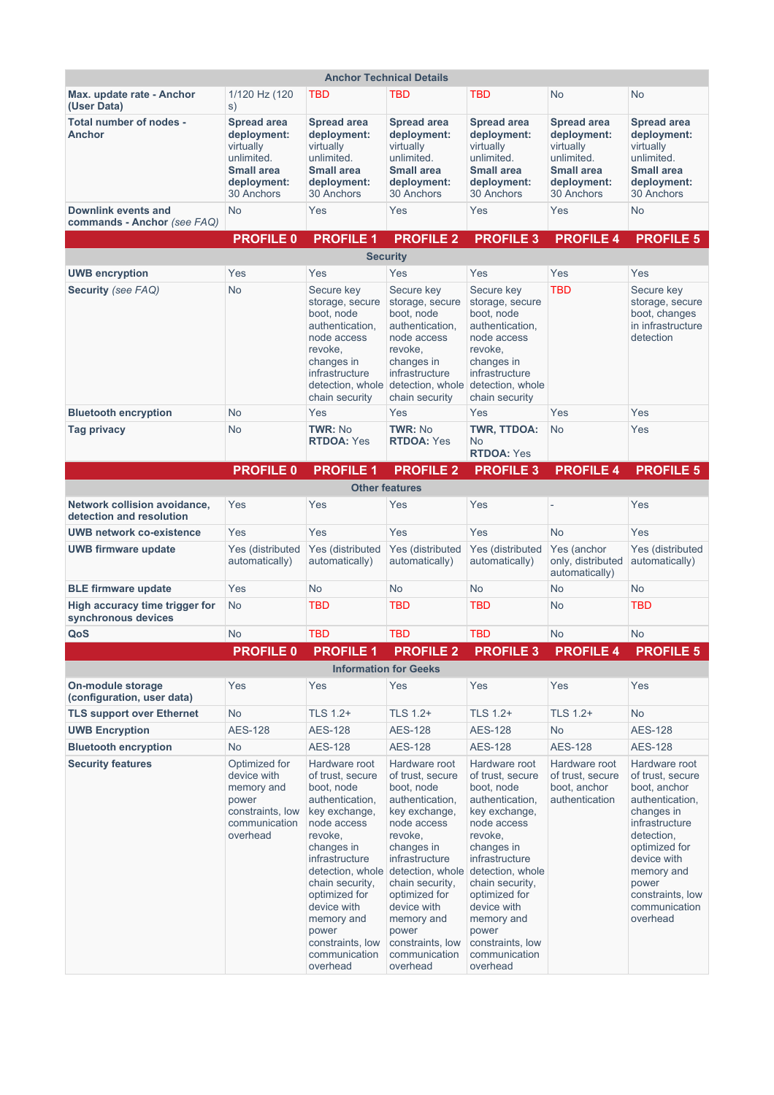| <b>Anchor Technical Details</b>                                 |                                                                                                                |                                                                                                                                                                                                                                                                                              |                                                                                                                                                                                                                                                                          |                                                                                                                                                                                                                                                                                                               |                                                                                                                |                                                                                                                                                                                                                            |
|-----------------------------------------------------------------|----------------------------------------------------------------------------------------------------------------|----------------------------------------------------------------------------------------------------------------------------------------------------------------------------------------------------------------------------------------------------------------------------------------------|--------------------------------------------------------------------------------------------------------------------------------------------------------------------------------------------------------------------------------------------------------------------------|---------------------------------------------------------------------------------------------------------------------------------------------------------------------------------------------------------------------------------------------------------------------------------------------------------------|----------------------------------------------------------------------------------------------------------------|----------------------------------------------------------------------------------------------------------------------------------------------------------------------------------------------------------------------------|
| Max. update rate - Anchor<br>(User Data)                        | 1/120 Hz (120<br>S)                                                                                            | TBD                                                                                                                                                                                                                                                                                          | TBD                                                                                                                                                                                                                                                                      | TBD                                                                                                                                                                                                                                                                                                           | No                                                                                                             | No                                                                                                                                                                                                                         |
| Total number of nodes -<br><b>Anchor</b>                        | <b>Spread area</b><br>deployment:<br>virtually<br>unlimited.<br><b>Small area</b><br>deployment:<br>30 Anchors | <b>Spread area</b><br>deployment:<br>virtually<br>unlimited.<br><b>Small area</b><br>deployment:<br>30 Anchors                                                                                                                                                                               | <b>Spread area</b><br>deployment:<br>virtually<br>unlimited.<br><b>Small area</b><br>deployment:<br>30 Anchors                                                                                                                                                           | <b>Spread area</b><br>deployment:<br>virtually<br>unlimited.<br><b>Small area</b><br>deployment:<br>30 Anchors                                                                                                                                                                                                | <b>Spread area</b><br>deployment:<br>virtually<br>unlimited.<br><b>Small area</b><br>deployment:<br>30 Anchors | <b>Spread area</b><br>deployment:<br>virtually<br>unlimited.<br><b>Small area</b><br>deployment:<br>30 Anchors                                                                                                             |
| Downlink events and<br>commands - Anchor (see FAQ)              | <b>No</b>                                                                                                      | Yes                                                                                                                                                                                                                                                                                          | Yes                                                                                                                                                                                                                                                                      | Yes                                                                                                                                                                                                                                                                                                           | Yes                                                                                                            | <b>No</b>                                                                                                                                                                                                                  |
|                                                                 | <b>PROFILE 0</b>                                                                                               | <b>PROFILE 1</b>                                                                                                                                                                                                                                                                             | <b>PROFILE 2</b>                                                                                                                                                                                                                                                         | <b>PROFILE 3</b>                                                                                                                                                                                                                                                                                              | <b>PROFILE 4</b>                                                                                               | <b>PROFILE 5</b>                                                                                                                                                                                                           |
|                                                                 |                                                                                                                |                                                                                                                                                                                                                                                                                              | <b>Security</b>                                                                                                                                                                                                                                                          |                                                                                                                                                                                                                                                                                                               |                                                                                                                |                                                                                                                                                                                                                            |
| <b>UWB encryption</b>                                           | Yes                                                                                                            | Yes                                                                                                                                                                                                                                                                                          | Yes                                                                                                                                                                                                                                                                      | Yes                                                                                                                                                                                                                                                                                                           | Yes                                                                                                            | Yes                                                                                                                                                                                                                        |
| Security (see FAQ)                                              | <b>No</b>                                                                                                      | Secure key<br>storage, secure<br>boot, node<br>authentication,<br>node access<br>revoke,<br>changes in<br>infrastructure<br>detection, whole<br>chain security                                                                                                                               | Secure key<br>storage, secure<br>boot, node<br>authentication,<br>node access<br>revoke,<br>changes in<br>infrastructure<br>detection, whole<br>chain security                                                                                                           | Secure key<br>storage, secure<br>boot, node<br>authentication,<br>node access<br>revoke,<br>changes in<br>infrastructure<br>detection, whole<br>chain security                                                                                                                                                | <b>TBD</b>                                                                                                     | Secure key<br>storage, secure<br>boot, changes<br>in infrastructure<br>detection                                                                                                                                           |
| <b>Bluetooth encryption</b>                                     | <b>No</b>                                                                                                      | Yes                                                                                                                                                                                                                                                                                          | Yes                                                                                                                                                                                                                                                                      | Yes                                                                                                                                                                                                                                                                                                           | Yes                                                                                                            | Yes                                                                                                                                                                                                                        |
| Tag privacy                                                     | <b>No</b>                                                                                                      | <b>TWR: No</b><br><b>RTDOA: Yes</b>                                                                                                                                                                                                                                                          | <b>TWR: No</b><br><b>RTDOA: Yes</b>                                                                                                                                                                                                                                      | TWR, TTDOA:<br>No<br><b>RTDOA: Yes</b>                                                                                                                                                                                                                                                                        | <b>No</b>                                                                                                      | Yes                                                                                                                                                                                                                        |
|                                                                 | <b>PROFILE 0</b>                                                                                               | <b>PROFILE 1</b>                                                                                                                                                                                                                                                                             | <b>PROFILE 2</b>                                                                                                                                                                                                                                                         | <b>PROFILE 3</b>                                                                                                                                                                                                                                                                                              | <b>PROFILE 4</b>                                                                                               | <b>PROFILE 5</b>                                                                                                                                                                                                           |
|                                                                 |                                                                                                                |                                                                                                                                                                                                                                                                                              | <b>Other features</b>                                                                                                                                                                                                                                                    |                                                                                                                                                                                                                                                                                                               |                                                                                                                |                                                                                                                                                                                                                            |
| <b>Network collision avoidance,</b><br>detection and resolution | Yes                                                                                                            | Yes                                                                                                                                                                                                                                                                                          | Yes                                                                                                                                                                                                                                                                      | Yes                                                                                                                                                                                                                                                                                                           |                                                                                                                | Yes                                                                                                                                                                                                                        |
| <b>UWB network co-existence</b>                                 | Yes                                                                                                            | Yes                                                                                                                                                                                                                                                                                          | Yes                                                                                                                                                                                                                                                                      | Yes                                                                                                                                                                                                                                                                                                           | <b>No</b>                                                                                                      | Yes                                                                                                                                                                                                                        |
| <b>UWB firmware update</b>                                      | Yes (distributed<br>automatically)                                                                             | Yes (distributed<br>automatically)                                                                                                                                                                                                                                                           | Yes (distributed<br>automatically)                                                                                                                                                                                                                                       | Yes (distributed<br>automatically)                                                                                                                                                                                                                                                                            | Yes (anchor<br>only, distributed<br>automatically)                                                             | Yes (distributed<br>automatically)                                                                                                                                                                                         |
| <b>BLE firmware update</b>                                      | Yes                                                                                                            | <b>No</b>                                                                                                                                                                                                                                                                                    | <b>No</b>                                                                                                                                                                                                                                                                | <b>No</b>                                                                                                                                                                                                                                                                                                     | <b>No</b>                                                                                                      | <b>No</b>                                                                                                                                                                                                                  |
| High accuracy time trigger for<br>synchronous devices           | <b>No</b>                                                                                                      | <b>TBD</b>                                                                                                                                                                                                                                                                                   | <b>TBD</b>                                                                                                                                                                                                                                                               | <b>TBD</b>                                                                                                                                                                                                                                                                                                    | <b>No</b>                                                                                                      | <b>TBD</b>                                                                                                                                                                                                                 |
| QoS                                                             | <b>No</b>                                                                                                      | <b>TBD</b>                                                                                                                                                                                                                                                                                   | <b>TBD</b>                                                                                                                                                                                                                                                               | <b>TBD</b>                                                                                                                                                                                                                                                                                                    | <b>No</b>                                                                                                      | <b>No</b>                                                                                                                                                                                                                  |
|                                                                 | <b>PROFILE 0</b>                                                                                               | <b>PROFILE 1</b>                                                                                                                                                                                                                                                                             | <b>PROFILE 2</b>                                                                                                                                                                                                                                                         | <b>PROFILE 3</b>                                                                                                                                                                                                                                                                                              | <b>PROFILE 4</b>                                                                                               | <b>PROFILE 5</b>                                                                                                                                                                                                           |
|                                                                 |                                                                                                                |                                                                                                                                                                                                                                                                                              | <b>Information for Geeks</b>                                                                                                                                                                                                                                             |                                                                                                                                                                                                                                                                                                               |                                                                                                                |                                                                                                                                                                                                                            |
| On-module storage<br>(configuration, user data)                 | Yes                                                                                                            | Yes                                                                                                                                                                                                                                                                                          | Yes                                                                                                                                                                                                                                                                      | Yes                                                                                                                                                                                                                                                                                                           | Yes                                                                                                            | Yes                                                                                                                                                                                                                        |
| <b>TLS support over Ethernet</b>                                | <b>No</b>                                                                                                      | TLS 1.2+                                                                                                                                                                                                                                                                                     | TLS 1.2+                                                                                                                                                                                                                                                                 | TLS 1.2+                                                                                                                                                                                                                                                                                                      | TLS 1.2+                                                                                                       | No                                                                                                                                                                                                                         |
| <b>UWB Encryption</b>                                           | <b>AES-128</b>                                                                                                 | <b>AES-128</b>                                                                                                                                                                                                                                                                               | <b>AES-128</b>                                                                                                                                                                                                                                                           | <b>AES-128</b>                                                                                                                                                                                                                                                                                                | <b>No</b>                                                                                                      | <b>AES-128</b>                                                                                                                                                                                                             |
| <b>Bluetooth encryption</b>                                     | <b>No</b>                                                                                                      | <b>AES-128</b>                                                                                                                                                                                                                                                                               | <b>AES-128</b>                                                                                                                                                                                                                                                           | <b>AES-128</b>                                                                                                                                                                                                                                                                                                | <b>AES-128</b>                                                                                                 | <b>AES-128</b>                                                                                                                                                                                                             |
| <b>Security features</b>                                        | Optimized for<br>device with<br>memory and<br>power<br>constraints, low<br>communication<br>overhead           | Hardware root<br>of trust, secure<br>boot, node<br>authentication.<br>key exchange,<br>node access<br>revoke,<br>changes in<br>infrastructure<br>detection, whole<br>chain security,<br>optimized for<br>device with<br>memory and<br>power<br>constraints, low<br>communication<br>overhead | Hardware root<br>of trust, secure<br>boot, node<br>authentication,<br>key exchange,<br>node access<br>revoke,<br>changes in<br>infrastructure<br>chain security,<br>optimized for<br>device with<br>memory and<br>power<br>constraints, low<br>communication<br>overhead | Hardware root<br>of trust, secure<br>boot, node<br>authentication,<br>key exchange,<br>node access<br>revoke,<br>changes in<br>infrastructure<br>detection, whole detection, whole<br>chain security,<br>optimized for<br>device with<br>memory and<br>power<br>constraints, low<br>communication<br>overhead | Hardware root<br>of trust, secure<br>boot, anchor<br>authentication                                            | Hardware root<br>of trust, secure<br>boot. anchor<br>authentication,<br>changes in<br>infrastructure<br>detection,<br>optimized for<br>device with<br>memory and<br>power<br>constraints, low<br>communication<br>overhead |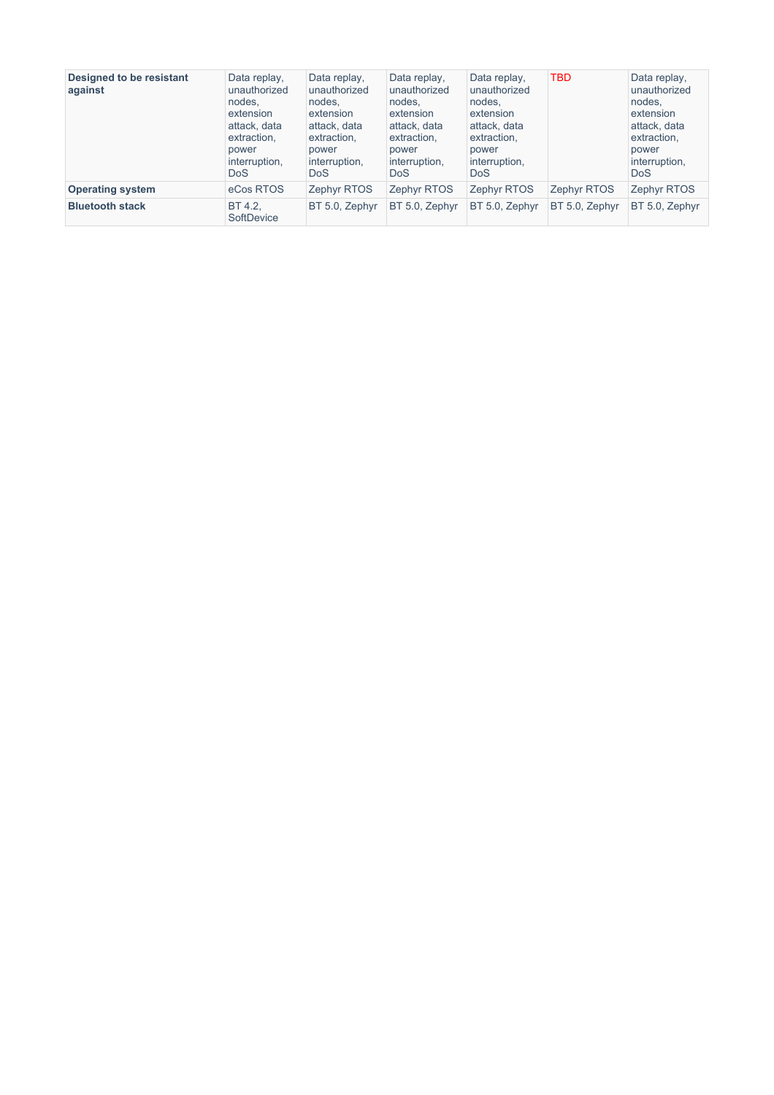| Designed to be resistant<br>against | Data replay,<br>unauthorized<br>nodes.<br>extension<br>attack, data<br>extraction,<br>power<br>interruption.<br><b>DoS</b> | Data replay,<br>unauthorized<br>nodes,<br>extension<br>attack, data<br>extraction,<br>power<br>interruption,<br><b>DoS</b> | Data replay,<br>unauthorized<br>nodes.<br>extension<br>attack, data<br>extraction,<br>power<br>interruption,<br><b>DoS</b> | Data replay,<br>unauthorized<br>nodes.<br>extension<br>attack, data<br>extraction,<br>power<br>interruption,<br><b>DoS</b> | <b>TBD</b>         | Data replay,<br>unauthorized<br>nodes,<br>extension<br>attack, data<br>extraction,<br>power<br>interruption,<br><b>DoS</b> |
|-------------------------------------|----------------------------------------------------------------------------------------------------------------------------|----------------------------------------------------------------------------------------------------------------------------|----------------------------------------------------------------------------------------------------------------------------|----------------------------------------------------------------------------------------------------------------------------|--------------------|----------------------------------------------------------------------------------------------------------------------------|
| <b>Operating system</b>             | eCos RTOS                                                                                                                  | <b>Zephyr RTOS</b>                                                                                                         | Zephyr RTOS                                                                                                                | <b>Zephyr RTOS</b>                                                                                                         | <b>Zephyr RTOS</b> | <b>Zephyr RTOS</b>                                                                                                         |
| <b>Bluetooth stack</b>              | BT 4.2.<br>SoftDevice                                                                                                      | BT 5.0, Zephyr                                                                                                             | BT 5.0, Zephyr                                                                                                             | BT 5.0, Zephyr                                                                                                             | BT 5.0, Zephyr     | BT 5.0, Zephyr                                                                                                             |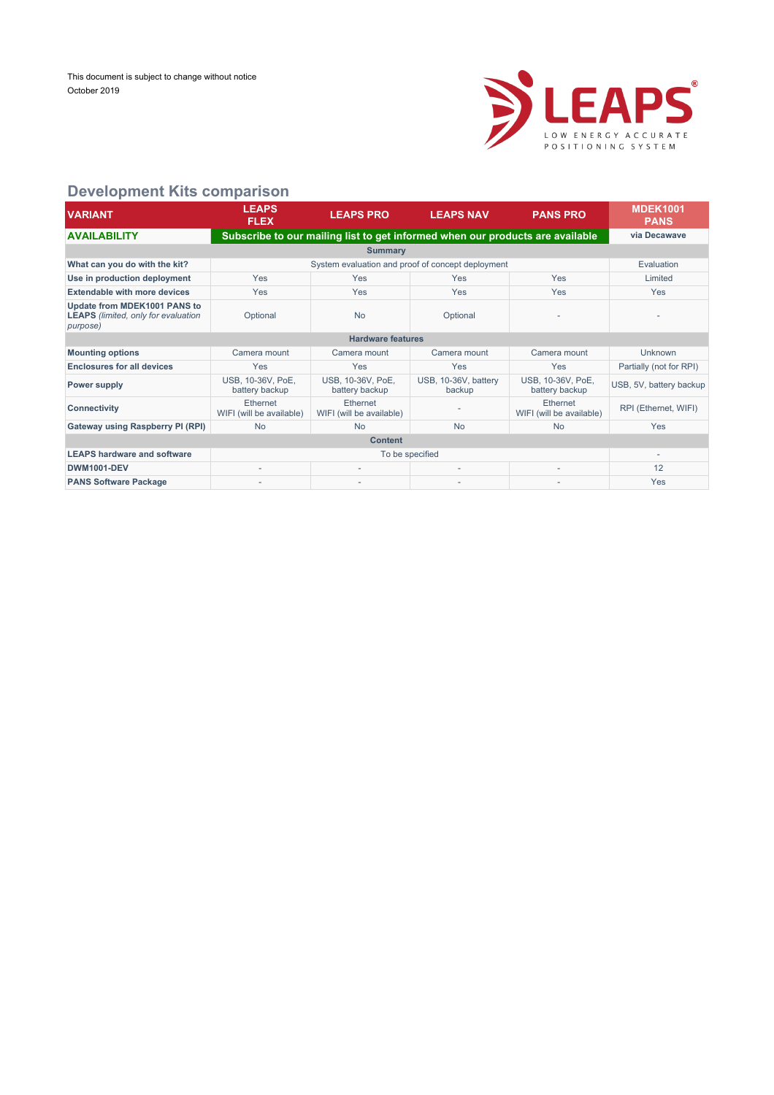

#### **Development Kits comparison**

| <b>VARIANT</b>                                                                         | <b>LEAPS</b><br><b>FLEX</b>          | <b>LEAPS PRO</b>                                                              | <b>LEAPS NAV</b>               | <b>PANS PRO</b>                      | <b>MDEK1001</b><br><b>PANS</b> |  |  |  |  |
|----------------------------------------------------------------------------------------|--------------------------------------|-------------------------------------------------------------------------------|--------------------------------|--------------------------------------|--------------------------------|--|--|--|--|
| <b>AVAILABILITY</b>                                                                    |                                      | Subscribe to our mailing list to get informed when our products are available |                                |                                      | via Decawave                   |  |  |  |  |
|                                                                                        | <b>Summary</b>                       |                                                                               |                                |                                      |                                |  |  |  |  |
| What can you do with the kit?                                                          |                                      | System evaluation and proof of concept deployment                             |                                |                                      | Evaluation                     |  |  |  |  |
| Use in production deployment                                                           | Yes                                  | Yes                                                                           | Yes                            | Yes                                  | Limited                        |  |  |  |  |
| <b>Extendable with more devices</b>                                                    | Yes                                  | Yes                                                                           | Yes                            | Yes                                  | Yes                            |  |  |  |  |
| Update from MDEK1001 PANS to<br><b>LEAPS</b> (limited, only for evaluation<br>purpose) | Optional                             | <b>No</b>                                                                     | Optional                       |                                      |                                |  |  |  |  |
|                                                                                        |                                      | <b>Hardware features</b>                                                      |                                |                                      |                                |  |  |  |  |
| <b>Mounting options</b>                                                                | Camera mount                         | Camera mount                                                                  | Camera mount                   | Camera mount                         | Unknown                        |  |  |  |  |
| <b>Enclosures for all devices</b>                                                      | Yes                                  | Yes                                                                           | Yes                            | Yes                                  | Partially (not for RPI)        |  |  |  |  |
| Power supply                                                                           | USB, 10-36V, PoE,<br>battery backup  | USB, 10-36V, PoE,<br>battery backup                                           | USB, 10-36V, battery<br>backup | USB, 10-36V, PoE,<br>battery backup  | USB, 5V, battery backup        |  |  |  |  |
| <b>Connectivity</b>                                                                    | Ethernet<br>WIFI (will be available) | Ethernet<br>WIFI (will be available)                                          |                                | Ethernet<br>WIFI (will be available) | RPI (Ethernet, WIFI)           |  |  |  |  |
| Gateway using Raspberry PI (RPI)                                                       | <b>No</b>                            | <b>No</b>                                                                     | <b>No</b>                      | <b>No</b>                            | Yes                            |  |  |  |  |
| <b>Content</b>                                                                         |                                      |                                                                               |                                |                                      |                                |  |  |  |  |
| <b>LEAPS hardware and software</b>                                                     |                                      | To be specified                                                               |                                |                                      |                                |  |  |  |  |
| <b>DWM1001-DEV</b>                                                                     | $\overline{\phantom{a}}$             | ٠                                                                             |                                | $\overline{\phantom{a}}$             | 12                             |  |  |  |  |
| <b>PANS Software Package</b>                                                           |                                      |                                                                               |                                |                                      | Yes                            |  |  |  |  |